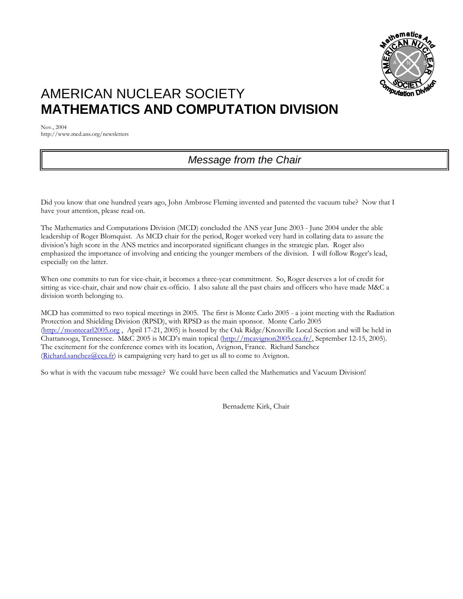

# AMERICAN NUCLEAR SOCIETY **MATHEMATICS AND COMPUTATION DIVISION**

Nov., 2004 http://www.mcd.ans.org/newsletters

## *Message from the Chair*

Did you know that one hundred years ago, John Ambrose Fleming invented and patented the vacuum tube? Now that I have your attention, please read on.

The Mathematics and Computations Division (MCD) concluded the ANS year June 2003 - June 2004 under the able leadership of Roger Blomquist. As MCD chair for the period, Roger worked very hard in collating data to assure the division's high score in the ANS metrics and incorporated significant changes in the strategic plan. Roger also emphasized the importance of involving and enticing the younger members of the division. I will follow Roger's lead, especially on the latter.

When one commits to run for vice-chair, it becomes a three-year commitment. So, Roger deserves a lot of credit for sitting as vice-chair, chair and now chair ex-officio. I also salute all the past chairs and officers who have made M&C a division worth belonging to.

MCD has committed to two topical meetings in 2005. The first is Monte Carlo 2005 - a joint meeting with the Radiation Protection and Shielding Division (RPSD), with RPSD as the main sponsor. Monte Carlo 2005 ([http://montecarl2005.org](http://montecarl2005.org/) , April 17-21, 2005) is hosted by the Oak Ridge/Knoxville Local Section and will be held in Chattanooga, Tennessee. M&C 2005 is MCD's main topical [\(http://mcavignon2005.cea.fr/,](http://mcavignon2005.cea.fr/) September 12-15, 2005). The excitement for the conference comes with its location, Avignon, France. Richard Sanchez  $(Richard.sanchez@cea.fr)$  $(Richard.sanchez@cea.fr)$  is campaigning very hard to get us all to come to Avignon.

So what is with the vacuum tube message? We could have been called the Mathematics and Vacuum Division!

Bernadette Kirk, Chair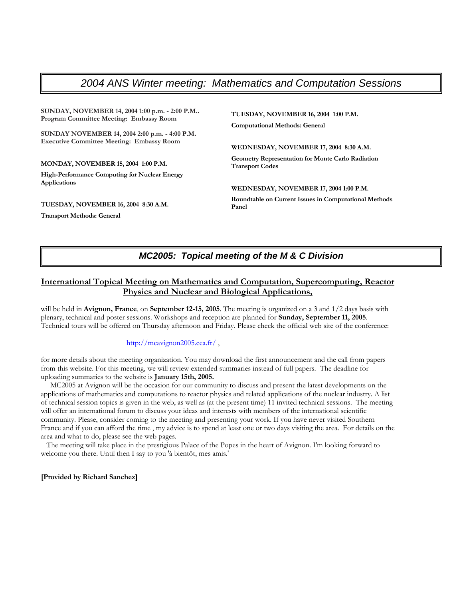### *2004 ANS Winter meeting: Mathematics and Computation Sessions*

**SUNDAY, NOVEMBER 14, 2004 1:00 p.m. - 2:00 P.M.. Program Committee Meeting: Embassy Room** 

**SUNDAY NOVEMBER 14, 2004 2:00 p.m. - 4:00 P.M. Executive Committee Meeting: Embassy Room**

#### **MONDAY, NOVEMBER 15, 2004 1:00 P.M.**

**High-Performance Computing for Nuclear Energy Applications** 

**TUESDAY, NOVEMBER 16, 2004 8:30 A.M.** 

**Transport Methods: General** 

**TUESDAY, NOVEMBER 16, 2004 1:00 P.M. Computational Methods: General** 

**WEDNESDAY, NOVEMBER 17, 2004 8:30 A.M.** 

**Geometry Representation for Monte Carlo Radiation Transport Codes** 

**WEDNESDAY, NOVEMBER 17, 2004 1:00 P.M. Roundtable on Current Issues in Computational Methods Panel**

### *MC2005: Topical meeting of the M & C Division*

### **International Topical Meeting on Mathematics and Computation, Supercomputing, Reactor Physics and Nuclear and Biological Applications,**

will be held in **Avignon, France**, on **September 12-15, 2005**. The meeting is organized on a 3 and 1/2 days basis with plenary, technical and poster sessions. Workshops and reception are planned for **Sunday, September 11, 2005**. Technical tours will be offered on Thursday afternoon and Friday. Please check the official web site of the conference:

#### http://mcavignon2005.cea.fr/,

for more details about the meeting organization. You may download the first announcement and the call from papers from this website. For this meeting, we will review extended summaries instead of full papers. The deadline for uploading summaries to the website is **January 15th, 2005.**

 MC2005 at Avignon will be the occasion for our community to discuss and present the latest developments on the applications of mathematics and computations to reactor physics and related applications of the nuclear industry. A list of technical session topics is given in the web, as well as (at the present time) 11 invited technical sessions. The meeting will offer an international forum to discuss your ideas and interests with members of the international scientific community. Please, consider coming to the meeting and presenting your work. If you have never visited Southern France and if you can afford the time , my advice is to spend at least one or two days visiting the area. For details on the area and what to do, please see the web pages.

 The meeting will take place in the prestigious Palace of the Popes in the heart of Avignon. I'm looking forward to welcome you there. Until then I say to you 'à bientôt, mes amis.'

#### **[Provided by Richard Sanchez]**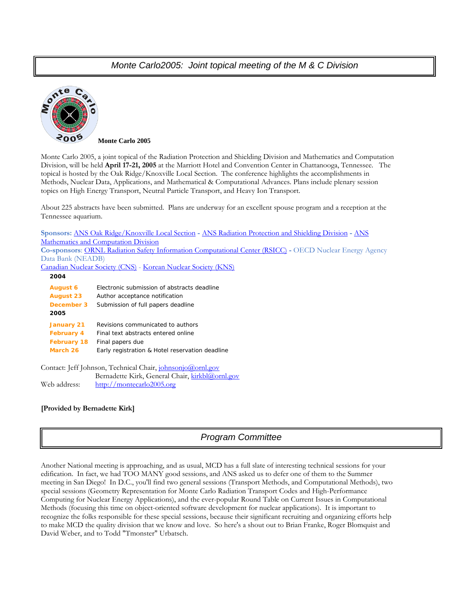### *Monte Carlo2005: Joint topical meeting of the M & C Division*



**Monte Carlo 2005** 

Monte Carlo 2005, a joint topical of the Radiation Protection and Shielding Division and Mathematics and Computation Division, will be held **April 17-21, 2005** at the Marriott Hotel and Convention Center in Chattanooga, Tennessee. The topical is hosted by the Oak Ridge/Knoxville Local Section. The conference highlights the accomplishments in Methods, Nuclear Data, Applications, and Mathematical & Computational Advances. Plans include plenary session topics on High Energy Transport, Neutral Particle Transport, and Heavy Ion Transport.

About 225 abstracts have been submitted. Plans are underway for an excellent spouse program and a reception at the Tennessee aquarium.

**Sponsors:** [ANS Oak Ridge/Knoxville Local Section](http://www.engr.utk.edu/org/ans/) **-** [ANS Radiation Protection and Shielding Division](http://www-rsicc.ornl.gov/rpsd/RPSD.html) **-** [ANS](http://www.mcd.ans.org/)  [Mathematics and Computation Division](http://www.mcd.ans.org/) **Co-sponsors**: [ORNL Radiation Safety Information Computational Center \(RSICC\)](http://www-rsicc.ornl.gov/rsicc.html) **-** OECD Nuclear Energy Agency Data Bank (NEADB)

[Canadian Nuclear Society \(CNS\)](http://www.cns-snc.ca/) - [Korean Nuclear Society \(KNS\)](http://www.nuclear.or.kr/)

| 2004                                                       |                                                 |  |
|------------------------------------------------------------|-------------------------------------------------|--|
| <b>August 6</b>                                            | Electronic submission of abstracts deadline     |  |
| <b>August 23</b>                                           | Author acceptance notification                  |  |
| December 3                                                 | Submission of full papers deadline              |  |
| 2005                                                       |                                                 |  |
| January 21                                                 | Revisions communicated to authors               |  |
| <b>February 4</b>                                          | Final text abstracts entered online             |  |
| <b>February 18</b>                                         | Final papers due                                |  |
| March 26                                                   | Early registration & Hotel reservation deadline |  |
|                                                            |                                                 |  |
| Contact: Jeff Johnson, Technical Chair, johnsonjo@ornl.gov |                                                 |  |
|                                                            | Bernadette Kirk, General Chair, kirkbl@ornl.gov |  |

### **[Provided by Bernadette Kirk]**

Web address: [http://montecarlo2005.org](http://montecarlo2005.org/)

### *Program Committee*

Another National meeting is approaching, and as usual, MCD has a full slate of interesting technical sessions for your edification. In fact, we had TOO MANY good sessions, and ANS asked us to defer one of them to the Summer meeting in San Diego! In D.C., you'll find two general sessions (Transport Methods, and Computational Methods), two special sessions (Geometry Representation for Monte Carlo Radiation Transport Codes and High-Performance Computing for Nuclear Energy Applications), and the ever-popular Round Table on Current Issues in Computational Methods (focusing this time on object-oriented software development for nuclear applications). It is important to recognize the folks responsible for these special sessions, because their significant recruiting and organizing efforts help to make MCD the quality division that we know and love. So here's a shout out to Brian Franke, Roger Blomquist and David Weber, and to Todd "Tmonster" Urbatsch.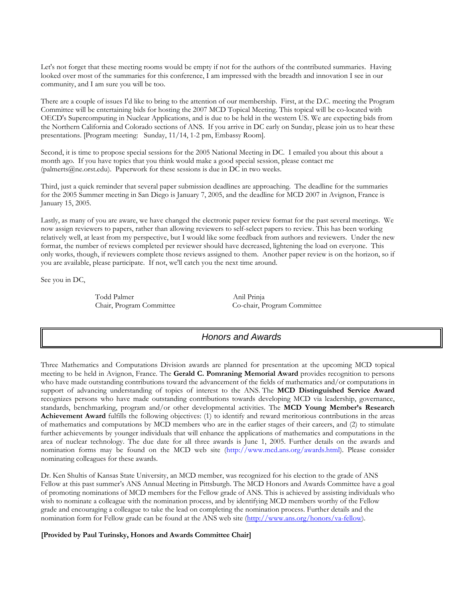Let's not forget that these meeting rooms would be empty if not for the authors of the contributed summaries. Having looked over most of the summaries for this conference, I am impressed with the breadth and innovation I see in our community, and I am sure you will be too.

There are a couple of issues I'd like to bring to the attention of our membership. First, at the D.C. meeting the Program Committee will be entertaining bids for hosting the 2007 MCD Topical Meeting. This topical will be co-located with OECD's Supercomputing in Nuclear Applications, and is due to be held in the western US. We are expecting bids from the Northern California and Colorado sections of ANS. If you arrive in DC early on Sunday, please join us to hear these presentations. [Program meeting: Sunday, 11/14, 1-2 pm, Embassy Room].

Second, it is time to propose special sessions for the 2005 National Meeting in DC. I emailed you about this about a month ago. If you have topics that you think would make a good special session, please contact me (palmerts $@$ ne.orst.edu). Paperwork for these sessions is due in DC in two weeks.

Third, just a quick reminder that several paper submission deadlines are approaching. The deadline for the summaries for the 2005 Summer meeting in San Diego is January 7, 2005, and the deadline for MCD 2007 in Avignon, France is January 15, 2005.

Lastly, as many of you are aware, we have changed the electronic paper review format for the past several meetings. We now assign reviewers to papers, rather than allowing reviewers to self-select papers to review. This has been working relatively well, at least from my perspective, but I would like some feedback from authors and reviewers. Under the new format, the number of reviews completed per reviewer should have decreased, lightening the load on everyone. This only works, though, if reviewers complete those reviews assigned to them. Another paper review is on the horizon, so if you are available, please participate. If not, we'll catch you the next time around.

See you in DC,

Todd Palmer Anil Prinja

Chair, Program Committee Co-chair, Program Committee

### *Honors and Awards*

Three Mathematics and Computations Division awards are planned for presentation at the upcoming MCD topical meeting to be held in Avignon, France. The **Gerald C. Pomraning Memorial Award** provides recognition to persons who have made outstanding contributions toward the advancement of the fields of mathematics and/or computations in support of advancing understanding of topics of interest to the ANS. The **MCD Distinguished Service Award** recognizes persons who have made outstanding contributions towards developing MCD via leadership, governance, standards, benchmarking, program and/or other developmental activities. The **MCD Young Member's Research Achievement Award** fulfills the following objectives: (1) to identify and reward meritorious contributions in the areas of mathematics and computations by MCD members who are in the earlier stages of their careers, and (2) to stimulate further achievements by younger individuals that will enhance the applications of mathematics and computations in the area of nuclear technology. The due date for all three awards is June 1, 2005. Further details on the awards and nomination forms may be found on the MCD web site (http://www.mcd.ans.org/awards.html). Please consider nominating colleagues for these awards.

Dr. Ken Shultis of Kansas State University, an MCD member, was recognized for his election to the grade of ANS Fellow at this past summer's ANS Annual Meeting in Pittsburgh. The MCD Honors and Awards Committee have a goal of promoting nominations of MCD members for the Fellow grade of ANS. This is achieved by assisting individuals who wish to nominate a colleague with the nomination process, and by identifying MCD members worthy of the Fellow grade and encouraging a colleague to take the lead on completing the nomination process. Further details and the nomination form for Fellow grade can be found at the ANS web site (<http://www.ans.org/honors/va-fellow>).

**[Provided by Paul Turinsky, Honors and Awards Committee Chair]**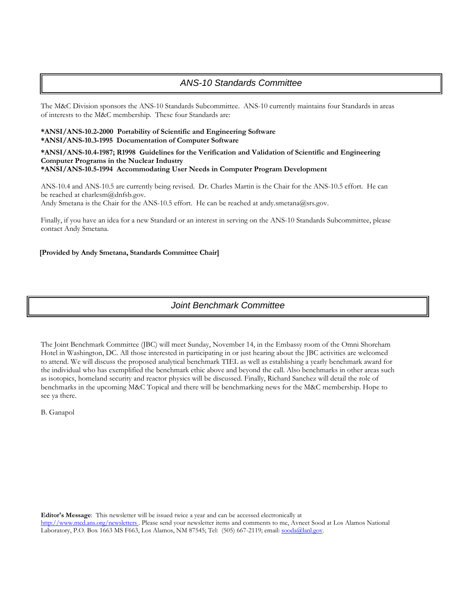### *ANS-10 Standards Committee*

The M&C Division sponsors the ANS-10 Standards Subcommittee. ANS-10 currently maintains four Standards in areas of interests to the M&C membership. These four Standards are:

### **\*ANSI/ANS-10.2-2000 Portability of Scientific and Engineering Software \*ANSI/ANS-10.3-1995 Documentation of Computer Software**

#### **\*ANSI/ANS-10.4-1987; R1998 Guidelines for the Verification and Validation of Scientific and Engineering Computer Programs in the Nuclear Industry \*ANSI/ANS-10.5-1994 Accommodating User Needs in Computer Program Development**

ANS-10.4 and ANS-10.5 are currently being revised. Dr. Charles Martin is the Chair for the ANS-10.5 effort. He can be reached at charlesm@dnfsb.gov. Andy Smetana is the Chair for the ANS-10.5 effort. He can be reached at andy.smetana@srs.gov.

Finally, if you have an idea for a new Standard or an interest in serving on the ANS-10 Standards Subcommittee, please contact Andy Smetana.

### **[Provided by Andy Smetana, Standards Committee Chair]**

### *Joint Benchmark Committee*

The Joint Benchmark Committee (JBC) will meet Sunday, November 14, in the Embassy room of the Omni Shoreham Hotel in Washington, DC. All those interested in participating in or just hearing about the JBC activities are welcomed to attend. We will discuss the proposed analytical benchmark TIEL as well as establishing a yearly benchmark award for the individual who has exemplified the benchmark ethic above and beyond the call. Also benchmarks in other areas such as isotopics, homeland security and reactor physics will be discussed. Finally, Richard Sanchez will detail the role of benchmarks in the upcoming M&C Topical and there will be benchmarking news for the M&C membership. Hope to see ya there.

B. Ganapol

**Editor's Message**: This newsletter will be issued twice a year and can be accessed electronically at

<http://www.mcd.ans.org/newsletters> . Please send your newsletter items and comments to me, Avneet Sood at Los Alamos National Laboratory, P.O. Box 1663 MS F663, Los Alamos, NM 87545; Tel: (505) 667-2119; email: [sooda@lanl.gov.](mailto:sooda@lanl.gov)